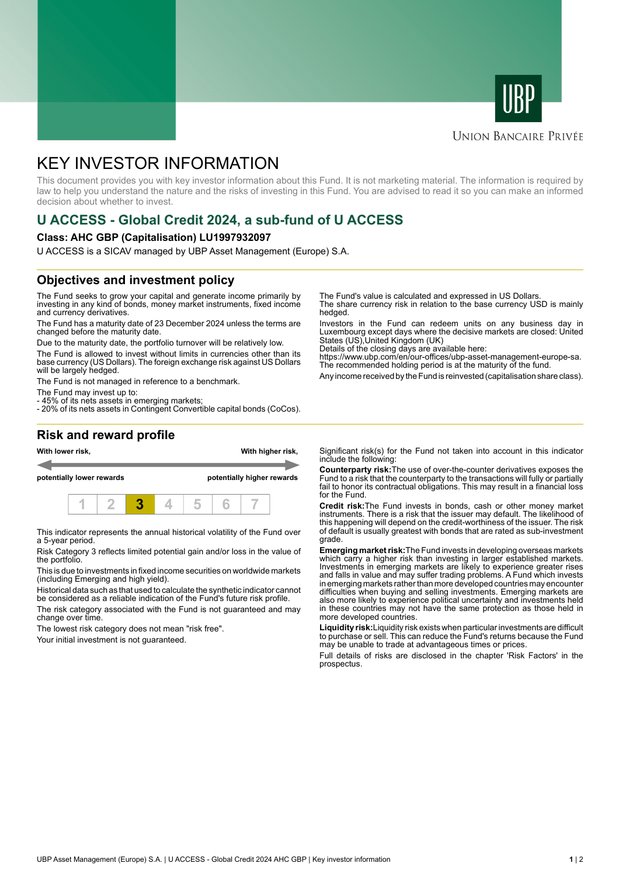



### **UNION BANCAIRE PRIVÉE**

# KEY INVESTOR INFORMATION

This document provides you with key investor information about this Fund. It is not marketing material. The information is required by law to help you understand the nature and the risks of investing in this Fund. You are advised to read it so you can make an informed decision about whether to invest.

## **U ACCESS - Global Credit 2024, a sub-fund of U ACCESS**

#### **Class: AHC GBP (Capitalisation) LU1997932097**

U ACCESS is a SICAV managed by UBP Asset Management (Europe) S.A.

#### **Objectives and investment policy**

The Fund seeks to grow your capital and generate income primarily by investing in any kind of bonds, money market instruments, fixed income and currency derivatives.

The Fund has a maturity date of 23 December 2024 unless the terms are changed before the maturity date.

Due to the maturity date, the portfolio turnover will be relatively low.

The Fund is allowed to invest without limits in currencies other than its base currency (US Dollars). The foreign exchange risk against US Dollars will be largely hedged.

The Fund is not managed in reference to a benchmark.

The Fund may invest up to:

- 45% of its nets assets in emerging markets;

- 20% of its nets assets in Contingent Convertible capital bonds (CoCos).

The Fund's value is calculated and expressed in US Dollars.

The share currency risk in relation to the base currency USD is mainly hedged.

Investors in the Fund can redeem units on any business day in Luxembourg except days where the decisive markets are closed: United States (US),United Kingdom (UK)

Details of the closing days are available here:

https://www.ubp.com/en/our-offices/ubp-asset-management-europe-sa. The recommended holding period is at the maturity of the fund.

Any income received by the Fund is reinvested (capitalisation share class).

## **Risk and reward profile**



This indicator represents the annual historical volatility of the Fund over a 5-year period.

Risk Category 3 reflects limited potential gain and/or loss in the value of the portfolio.

This is due to investments in fixed income securities on worldwide markets (including Emerging and high yield).

Historical data such as that used to calculate the synthetic indicator cannot be considered as a reliable indication of the Fund's future risk profile.

The risk category associated with the Fund is not guaranteed and may change over time.

The lowest risk category does not mean "risk free".

Your initial investment is not guaranteed.

Significant risk(s) for the Fund not taken into account in this indicator include the following:

**Counterparty risk:**The use of over-the-counter derivatives exposes the Fund to a risk that the counterparty to the transactions will fully or partially fail to honor its contractual obligations. This may result in a financial loss for the Fund.

**Credit risk:**The Fund invests in bonds, cash or other money market instruments. There is a risk that the issuer may default. The likelihood of this happening will depend on the credit-worthiness of the issuer. The risk of default is usually greatest with bonds that are rated as sub-investment grade.

**Emerging market risk:**The Fund invests in developing overseas markets which carry a higher risk than investing in larger established markets. Investments in emerging markets are likely to experience greater rises and falls in value and may suffer trading problems. A Fund which invests in emerging markets rather than more developed countries may encounter difficulties when buying and selling investments. Emerging markets are also more likely to experience political uncertainty and investments held in these countries may not have the same protection as those held in more developed countries.

**Liquidity risk:**Liquidity risk exists when particular investments are difficult to purchase or sell. This can reduce the Fund's returns because the Fund may be unable to trade at advantageous times or prices.

Full details of risks are disclosed in the chapter 'Risk Factors' in the prospectus.